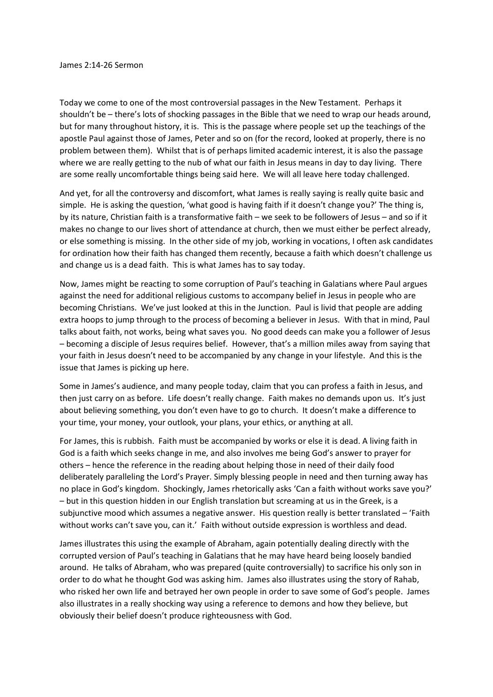Today we come to one of the most controversial passages in the New Testament. Perhaps it shouldn't be – there's lots of shocking passages in the Bible that we need to wrap our heads around, but for many throughout history, it is. This is the passage where people set up the teachings of the apostle Paul against those of James, Peter and so on (for the record, looked at properly, there is no problem between them). Whilst that is of perhaps limited academic interest, it is also the passage where we are really getting to the nub of what our faith in Jesus means in day to day living. There are some really uncomfortable things being said here. We will all leave here today challenged.

And yet, for all the controversy and discomfort, what James is really saying is really quite basic and simple. He is asking the question, 'what good is having faith if it doesn't change you?' The thing is, by its nature, Christian faith is a transformative faith – we seek to be followers of Jesus – and so if it makes no change to our lives short of attendance at church, then we must either be perfect already, or else something is missing. In the other side of my job, working in vocations, I often ask candidates for ordination how their faith has changed them recently, because a faith which doesn't challenge us and change us is a dead faith. This is what James has to say today.

Now, James might be reacting to some corruption of Paul's teaching in Galatians where Paul argues against the need for additional religious customs to accompany belief in Jesus in people who are becoming Christians. We've just looked at this in the Junction. Paul is livid that people are adding extra hoops to jump through to the process of becoming a believer in Jesus. With that in mind, Paul talks about faith, not works, being what saves you. No good deeds can make you a follower of Jesus – becoming a disciple of Jesus requires belief. However, that's a million miles away from saying that your faith in Jesus doesn't need to be accompanied by any change in your lifestyle. And this is the issue that James is picking up here.

Some in James's audience, and many people today, claim that you can profess a faith in Jesus, and then just carry on as before. Life doesn't really change. Faith makes no demands upon us. It's just about believing something, you don't even have to go to church. It doesn't make a difference to your time, your money, your outlook, your plans, your ethics, or anything at all.

For James, this is rubbish. Faith must be accompanied by works or else it is dead. A living faith in God is a faith which seeks change in me, and also involves me being God's answer to prayer for others – hence the reference in the reading about helping those in need of their daily food deliberately paralleling the Lord's Prayer. Simply blessing people in need and then turning away has no place in God's kingdom. Shockingly, James rhetorically asks 'Can a faith without works save you?' – but in this question hidden in our English translation but screaming at us in the Greek, is a subjunctive mood which assumes a negative answer. His question really is better translated – 'Faith without works can't save you, can it.' Faith without outside expression is worthless and dead.

James illustrates this using the example of Abraham, again potentially dealing directly with the corrupted version of Paul's teaching in Galatians that he may have heard being loosely bandied around. He talks of Abraham, who was prepared (quite controversially) to sacrifice his only son in order to do what he thought God was asking him. James also illustrates using the story of Rahab, who risked her own life and betrayed her own people in order to save some of God's people. James also illustrates in a really shocking way using a reference to demons and how they believe, but obviously their belief doesn't produce righteousness with God.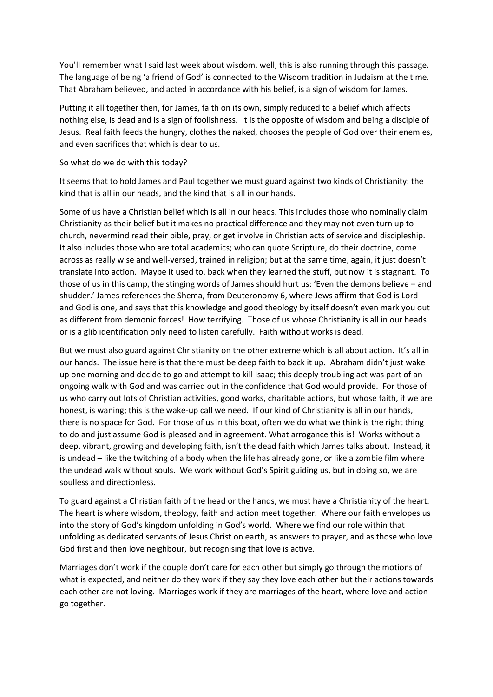You'll remember what I said last week about wisdom, well, this is also running through this passage. The language of being 'a friend of God' is connected to the Wisdom tradition in Judaism at the time. That Abraham believed, and acted in accordance with his belief, is a sign of wisdom for James.

Putting it all together then, for James, faith on its own, simply reduced to a belief which affects nothing else, is dead and is a sign of foolishness. It is the opposite of wisdom and being a disciple of Jesus. Real faith feeds the hungry, clothes the naked, chooses the people of God over their enemies, and even sacrifices that which is dear to us.

## So what do we do with this today?

It seems that to hold James and Paul together we must guard against two kinds of Christianity: the kind that is all in our heads, and the kind that is all in our hands.

Some of us have a Christian belief which is all in our heads. This includes those who nominally claim Christianity as their belief but it makes no practical difference and they may not even turn up to church, nevermind read their bible, pray, or get involve in Christian acts of service and discipleship. It also includes those who are total academics; who can quote Scripture, do their doctrine, come across as really wise and well-versed, trained in religion; but at the same time, again, it just doesn't translate into action. Maybe it used to, back when they learned the stuff, but now it is stagnant. To those of us in this camp, the stinging words of James should hurt us: 'Even the demons believe – and shudder.' James references the Shema, from Deuteronomy 6, where Jews affirm that God is Lord and God is one, and says that this knowledge and good theology by itself doesn't even mark you out as different from demonic forces! How terrifying. Those of us whose Christianity is all in our heads or is a glib identification only need to listen carefully. Faith without works is dead.

But we must also guard against Christianity on the other extreme which is all about action. It's all in our hands. The issue here is that there must be deep faith to back it up. Abraham didn't just wake up one morning and decide to go and attempt to kill Isaac; this deeply troubling act was part of an ongoing walk with God and was carried out in the confidence that God would provide. For those of us who carry out lots of Christian activities, good works, charitable actions, but whose faith, if we are honest, is waning; this is the wake-up call we need. If our kind of Christianity is all in our hands, there is no space for God. For those of us in this boat, often we do what we think is the right thing to do and just assume God is pleased and in agreement. What arrogance this is! Works without a deep, vibrant, growing and developing faith, isn't the dead faith which James talks about. Instead, it is undead – like the twitching of a body when the life has already gone, or like a zombie film where the undead walk without souls. We work without God's Spirit guiding us, but in doing so, we are soulless and directionless.

To guard against a Christian faith of the head or the hands, we must have a Christianity of the heart. The heart is where wisdom, theology, faith and action meet together. Where our faith envelopes us into the story of God's kingdom unfolding in God's world. Where we find our role within that unfolding as dedicated servants of Jesus Christ on earth, as answers to prayer, and as those who love God first and then love neighbour, but recognising that love is active.

Marriages don't work if the couple don't care for each other but simply go through the motions of what is expected, and neither do they work if they say they love each other but their actions towards each other are not loving. Marriages work if they are marriages of the heart, where love and action go together.